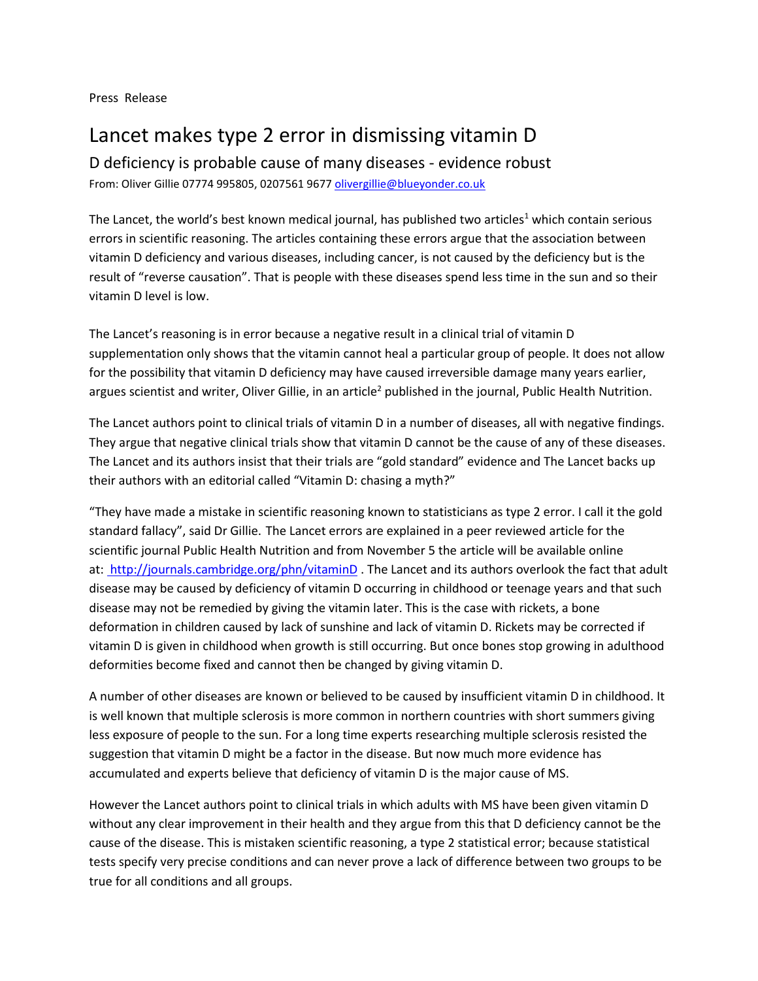Press Release

## Lancet makes type 2 error in dismissing vitamin D

D deficiency is probable cause of many diseases - evidence robust

From: Oliver Gillie 07774 995805, 0207561 967[7 olivergillie@blueyonder.co.uk](mailto:olivergillie@blueyonder.co.uk)

The Lancet, the world's best known medical journal, has published two articles<sup>1</sup> which contain serious errors in scientific reasoning. The articles containing these errors argue that the association between vitamin D deficiency and various diseases, including cancer, is not caused by the deficiency but is the result of "reverse causation". That is people with these diseases spend less time in the sun and so their vitamin D level is low.

The Lancet's reasoning is in error because a negative result in a clinical trial of vitamin D supplementation only shows that the vitamin cannot heal a particular group of people. It does not allow for the possibility that vitamin D deficiency may have caused irreversible damage many years earlier, argues scientist and writer, Oliver Gillie, in an article<sup>2</sup> published in the journal, Public Health Nutrition.

The Lancet authors point to clinical trials of vitamin D in a number of diseases, all with negative findings. They argue that negative clinical trials show that vitamin D cannot be the cause of any of these diseases. The Lancet and its authors insist that their trials are "gold standard" evidence and The Lancet backs up their authors with an editorial called "Vitamin D: chasing a myth?"

"They have made a mistake in scientific reasoning known to statisticians as type 2 error. I call it the gold standard fallacy", said Dr Gillie. The Lancet errors are explained in a peer reviewed article for the scientific journal Public Health Nutrition and from November 5 the article will be available online at: [http://journals.cambridge.org/phn/vitaminD](file:///C:/Users/VitaminD/AppData/Local/Microsoft/Windows/INetCache/Content.Outlook/I3L57A7A/ http:/journals.cambridge.org/phn/vitaminD)</u>. The Lancet and its authors overlook the fact that adult disease may be caused by deficiency of vitamin D occurring in childhood or teenage years and that such disease may not be remedied by giving the vitamin later. This is the case with rickets, a bone deformation in children caused by lack of sunshine and lack of vitamin D. Rickets may be corrected if vitamin D is given in childhood when growth is still occurring. But once bones stop growing in adulthood deformities become fixed and cannot then be changed by giving vitamin D.

A number of other diseases are known or believed to be caused by insufficient vitamin D in childhood. It is well known that multiple sclerosis is more common in northern countries with short summers giving less exposure of people to the sun. For a long time experts researching multiple sclerosis resisted the suggestion that vitamin D might be a factor in the disease. But now much more evidence has accumulated and experts believe that deficiency of vitamin D is the major cause of MS.

However the Lancet authors point to clinical trials in which adults with MS have been given vitamin D without any clear improvement in their health and they argue from this that D deficiency cannot be the cause of the disease. This is mistaken scientific reasoning, a type 2 statistical error; because statistical tests specify very precise conditions and can never prove a lack of difference between two groups to be true for all conditions and all groups.